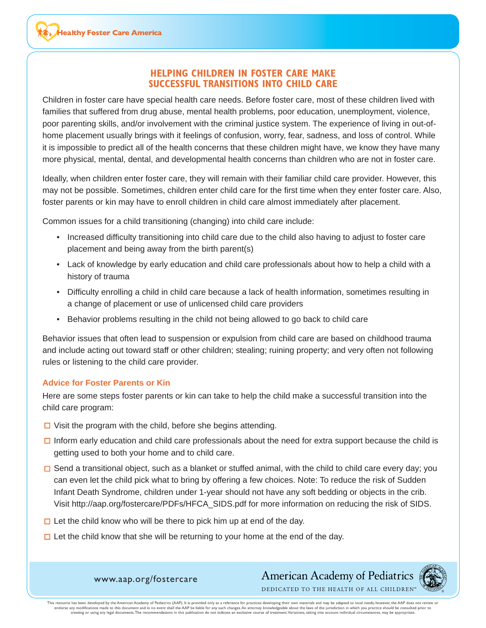## **HELPING CHILDREN IN FOSTER CARE MAKE SUCCESSFUL TRANSITIONS INTO CHILD CARE**

Children in foster care have special health care needs. Before foster care, most of these children lived with families that suffered from drug abuse, mental health problems, poor education, unemployment, violence, poor parenting skills, and/or involvement with the criminal justice system. The experience of living in out-ofhome placement usually brings with it feelings of confusion, worry, fear, sadness, and loss of control. While it is impossible to predict all of the health concerns that these children might have, we know they have many more physical, mental, dental, and developmental health concerns than children who are not in foster care.

Ideally, when children enter foster care, they will remain with their familiar child care provider. However, this may not be possible. Sometimes, children enter child care for the first time when they enter foster care. Also, foster parents or kin may have to enroll children in child care almost immediately after placement.

Common issues for a child transitioning (changing) into child care include:

- Increased difficulty transitioning into child care due to the child also having to adjust to foster care placement and being away from the birth parent(s)
- Lack of knowledge by early education and child care professionals about how to help a child with a history of trauma
- Difficulty enrolling a child in child care because a lack of health information, sometimes resulting in a change of placement or use of unlicensed child care providers
- Behavior problems resulting in the child not being allowed to go back to child care

Behavior issues that often lead to suspension or expulsion from child care are based on childhood trauma and include acting out toward staff or other children; stealing; ruining property; and very often not following rules or listening to the child care provider.

## **Advice for Foster Parents or Kin**

Here are some steps foster parents or kin can take to help the child make a successful transition into the child care program:

- $\Box$  Visit the program with the child, before she begins attending.
- $\Box$  Inform early education and child care professionals about the need for extra support because the child is getting used to both your home and to child care.
- $\Box$  Send a transitional object, such as a blanket or stuffed animal, with the child to child care every day; you can even let the child pick what to bring by offering a few choices. Note: To reduce the risk of Sudden Infant Death Syndrome, children under 1-year should not have any soft bedding or objects in the crib. Visit http://aap.org/fostercare/PDFs/HFCA\_SIDS.pdf for more information on reducing the risk of SIDS.
- $\Box$  Let the child know who will be there to pick him up at end of the day.
- $\Box$  Let the child know that she will be returning to your home at the end of the day.



www.aap.org/fostercare

DEDICATED TO THE HEALTH OF ALL CHILDREN<sup>®</sup>

This resource has been developed by the American Academy of Pediatrics (AAP). It is provided only as a reference for practices developing their own materials and may be adapted to local needs; however, the AAP does not rev